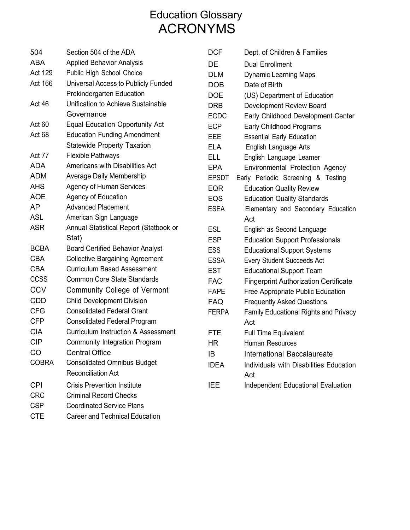## Education Glossary ACRONYMS

| 504          | Section 504 of the ADA                         | <b>DCF</b>   | Dept. of Children & Families                 |
|--------------|------------------------------------------------|--------------|----------------------------------------------|
| <b>ABA</b>   | <b>Applied Behavior Analysis</b>               | DE           | <b>Dual Enrollment</b>                       |
| Act 129      | Public High School Choice                      | <b>DLM</b>   | <b>Dynamic Learning Maps</b>                 |
| Act 166      | Universal Access to Publicly Funded            | <b>DOB</b>   | Date of Birth                                |
|              | <b>Prekindergarten Education</b>               | <b>DOE</b>   | (US) Department of Education                 |
| Act 46       | Unification to Achieve Sustainable             | <b>DRB</b>   | Development Review Board                     |
|              | Governance                                     | <b>ECDC</b>  | Early Childhood Development Center           |
| Act 60       | <b>Equal Education Opportunity Act</b>         | <b>ECP</b>   | Early Childhood Programs                     |
| Act 68       | <b>Education Funding Amendment</b>             | EEE          | <b>Essential Early Education</b>             |
|              | <b>Statewide Property Taxation</b>             | <b>ELA</b>   | English Language Arts                        |
| Act 77       | <b>Flexible Pathways</b>                       | ELL          | English Language Learner                     |
| <b>ADA</b>   | Americans with Disabilities Act                | <b>EPA</b>   | Environmental Protection Agency              |
| <b>ADM</b>   | Average Daily Membership                       | <b>EPSDT</b> | Early Periodic Screening & Testing           |
| <b>AHS</b>   | <b>Agency of Human Services</b>                | <b>EQR</b>   | <b>Education Quality Review</b>              |
| <b>AOE</b>   | <b>Agency of Education</b>                     | <b>EQS</b>   | <b>Education Quality Standards</b>           |
| <b>AP</b>    | <b>Advanced Placement</b>                      | <b>ESEA</b>  | Elementary and Secondary Education           |
| <b>ASL</b>   | American Sign Language                         |              | Act                                          |
| <b>ASR</b>   | Annual Statistical Report (Statbook or         | <b>ESL</b>   | English as Second Language                   |
|              | Stat)                                          | <b>ESP</b>   | <b>Education Support Professionals</b>       |
| <b>BCBA</b>  | <b>Board Certified Behavior Analyst</b>        | <b>ESS</b>   | <b>Educational Support Systems</b>           |
| <b>CBA</b>   | <b>Collective Bargaining Agreement</b>         | <b>ESSA</b>  | <b>Every Student Succeeds Act</b>            |
| <b>CBA</b>   | <b>Curriculum Based Assessment</b>             | <b>EST</b>   | <b>Educational Support Team</b>              |
| <b>CCSS</b>  | <b>Common Core State Standards</b>             | <b>FAC</b>   | <b>Fingerprint Authorization Certificate</b> |
| <b>CCV</b>   | <b>Community College of Vermont</b>            | <b>FAPE</b>  | Free Appropriate Public Education            |
| <b>CDD</b>   | <b>Child Development Division</b>              | <b>FAQ</b>   | <b>Frequently Asked Questions</b>            |
| <b>CFG</b>   | <b>Consolidated Federal Grant</b>              | <b>FERPA</b> | <b>Family Educational Rights and Privacy</b> |
| <b>CFP</b>   | <b>Consolidated Federal Program</b>            |              | Act                                          |
| <b>CIA</b>   | <b>Curriculum Instruction &amp; Assessment</b> | <b>FTE</b>   | <b>Full Time Equivalent</b>                  |
| <b>CIP</b>   | Community Integration Program                  | HR           | Human Resources                              |
| CO           | <b>Central Office</b>                          | IB           | International Baccalaureate                  |
| <b>COBRA</b> | <b>Consolidated Omnibus Budget</b>             | <b>IDEA</b>  | Individuals with Disabilities Education      |
|              | <b>Reconciliation Act</b>                      |              | Act                                          |
| <b>CPI</b>   | <b>Crisis Prevention Institute</b>             | <b>IEE</b>   | Independent Educational Evaluation           |
| <b>CRC</b>   | <b>Criminal Record Checks</b>                  |              |                                              |
| <b>CSP</b>   | <b>Coordinated Service Plans</b>               |              |                                              |

CTE Career and Technical Education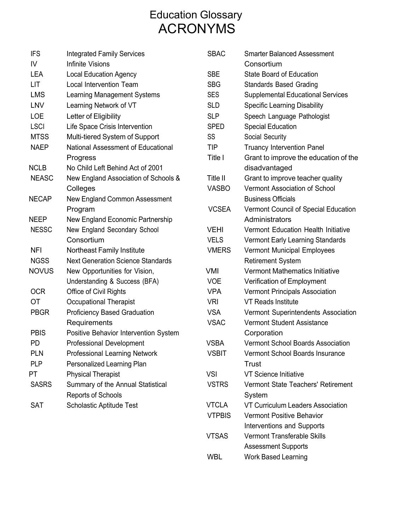## Education Glossary ACRONYMS

| <b>IFS</b>   | <b>Integrated Family Services</b>        | <b>SBAC</b>   | <b>Smarter Balanced Assessment</b>       |
|--------------|------------------------------------------|---------------|------------------------------------------|
| IV           | <b>Infinite Visions</b>                  |               | Consortium                               |
| <b>LEA</b>   | <b>Local Education Agency</b>            | <b>SBE</b>    | <b>State Board of Education</b>          |
| LIT          | Local Intervention Team                  | <b>SBG</b>    | <b>Standards Based Grading</b>           |
| <b>LMS</b>   | Learning Management Systems              | <b>SES</b>    | <b>Supplemental Educational Services</b> |
| <b>LNV</b>   | Learning Network of VT                   | <b>SLD</b>    | <b>Specific Learning Disability</b>      |
| <b>LOE</b>   | Letter of Eligibility                    | <b>SLP</b>    | Speech Language Pathologist              |
| <b>LSCI</b>  | Life Space Crisis Intervention           | <b>SPED</b>   | <b>Special Education</b>                 |
| <b>MTSS</b>  | Multi-tiered System of Support           | SS            | Social Security                          |
| <b>NAEP</b>  | National Assessment of Educational       | TIP           | <b>Truancy Intervention Panel</b>        |
|              | Progress                                 | Title I       | Grant to improve the education of the    |
| <b>NCLB</b>  | No Child Left Behind Act of 2001         |               | disadvantaged                            |
| <b>NEASC</b> | New England Association of Schools &     | Title II      | Grant to improve teacher quality         |
|              | Colleges                                 | <b>VASBO</b>  | Vermont Association of School            |
| <b>NECAP</b> | New England Common Assessment            |               | <b>Business Officials</b>                |
|              | Program                                  | <b>VCSEA</b>  | Vermont Council of Special Education     |
| <b>NEEP</b>  | New England Economic Partnership         |               | Administrators                           |
| <b>NESSC</b> | New England Secondary School             | <b>VEHI</b>   | Vermont Education Health Initiative      |
|              | Consortium                               | <b>VELS</b>   | Vermont Early Learning Standards         |
| <b>NFI</b>   | Northeast Family Institute               | <b>VMERS</b>  | Vermont Municipal Employees              |
| <b>NGSS</b>  | <b>Next Generation Science Standards</b> |               | <b>Retirement System</b>                 |
| <b>NOVUS</b> | New Opportunities for Vision,            | VMI           | Vermont Mathematics Initiative           |
|              | Understanding & Success (BFA)            | <b>VOE</b>    | Verification of Employment               |
| <b>OCR</b>   | Office of Civil Rights                   | <b>VPA</b>    | <b>Vermont Principals Association</b>    |
| ОT           | <b>Occupational Therapist</b>            | <b>VRI</b>    | <b>VT Reads Institute</b>                |
| <b>PBGR</b>  | <b>Proficiency Based Graduation</b>      | <b>VSA</b>    | Vermont Superintendents Association      |
|              | Requirements                             | <b>VSAC</b>   | Vermont Student Assistance               |
| <b>PBIS</b>  | Positive Behavior Intervention System    |               | Corporation                              |
| <b>PD</b>    | Professional Development                 | <b>VSBA</b>   | <b>Vermont School Boards Association</b> |
| <b>PLN</b>   | <b>Professional Learning Network</b>     | <b>VSBIT</b>  | Vermont School Boards Insurance          |
| <b>PLP</b>   | Personalized Learning Plan               |               | <b>Trust</b>                             |
| PT           | <b>Physical Therapist</b>                | <b>VSI</b>    | VT Science Initiative                    |
| <b>SASRS</b> | Summary of the Annual Statistical        | <b>VSTRS</b>  | Vermont State Teachers' Retirement       |
|              | <b>Reports of Schools</b>                |               | System                                   |
| <b>SAT</b>   | Scholastic Aptitude Test                 | <b>VTCLA</b>  | VT Curriculum Leaders Association        |
|              |                                          | <b>VTPBIS</b> | Vermont Positive Behavior                |
|              |                                          |               | Interventions and Supports               |
|              |                                          | <b>VTSAS</b>  | Vermont Transferable Skills              |

Assessment Supports

WBL Work Based Learning